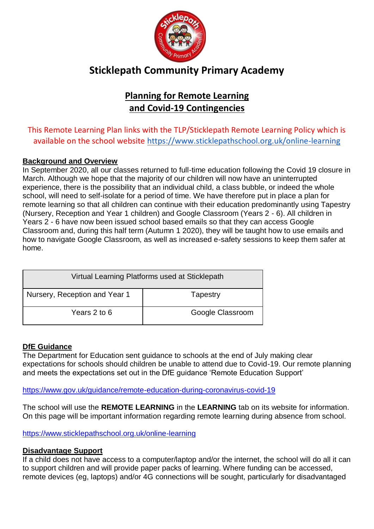

# **Sticklepath Community Primary Academy**

## **Planning for Remote Learning and Covid-19 Contingencies**

This Remote Learning Plan links with the TLP/Sticklepath Remote Learning Policy which is available on the school website<https://www.sticklepathschool.org.uk/online-learning>

#### **Background and Overview**

In September 2020, all our classes returned to full-time education following the Covid 19 closure in March. Although we hope that the majority of our children will now have an uninterrupted experience, there is the possibility that an individual child, a class bubble, or indeed the whole school, will need to self-isolate for a period of time. We have therefore put in place a plan for remote learning so that all children can continue with their education predominantly using Tapestry (Nursery, Reception and Year 1 children) and Google Classroom (Years 2 - 6). All children in Years 2 - 6 have now been issued school based emails so that they can access Google Classroom and, during this half term (Autumn 1 2020), they will be taught how to use emails and how to navigate Google Classroom, as well as increased e-safety sessions to keep them safer at home.

| Virtual Learning Platforms used at Sticklepath |                  |  |
|------------------------------------------------|------------------|--|
| Nursery, Reception and Year 1                  | Tapestry         |  |
| Years 2 to 6                                   | Google Classroom |  |

#### **DfE Guidance**

The Department for Education sent guidance to schools at the end of July making clear expectations for schools should children be unable to attend due to Covid-19. Our remote planning and meets the expectations set out in the DfE guidance 'Remote Education Support'

#### <https://www.gov.uk/guidance/remote-education-during-coronavirus-covid-19>

The school will use the **REMOTE LEARNING** in the **LEARNING** tab on its website for information. On this page will be important information regarding remote learning during absence from school.

<https://www.sticklepathschool.org.uk/online-learning>

#### **Disadvantage Support**

If a child does not have access to a computer/laptop and/or the internet, the school will do all it can to support children and will provide paper packs of learning. Where funding can be accessed, remote devices (eg, laptops) and/or 4G connections will be sought, particularly for disadvantaged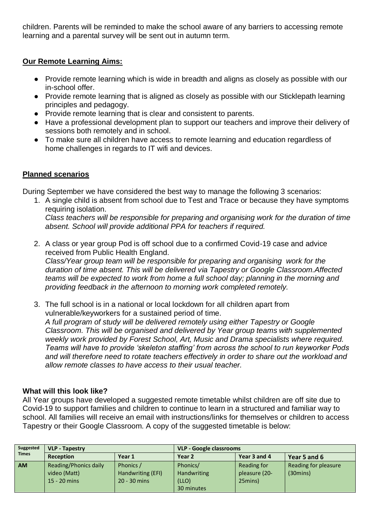children. Parents will be reminded to make the school aware of any barriers to accessing remote learning and a parental survey will be sent out in autumn term.

#### **Our Remote Learning Aims:**

- Provide remote learning which is wide in breadth and aligns as closely as possible with our in-school offer.
- Provide remote learning that is aligned as closely as possible with our Sticklepath learning principles and pedagogy.
- Provide remote learning that is clear and consistent to parents.
- Have a professional development plan to support our teachers and improve their delivery of sessions both remotely and in school.
- To make sure all children have access to remote learning and education regardless of home challenges in regards to IT wifi and devices.

#### **Planned scenarios**

During September we have considered the best way to manage the following 3 scenarios:

- 1. A single child is absent from school due to Test and Trace or because they have symptoms requiring isolation. *Class teachers will be responsible for preparing and organising work for the duration of time absent. School will provide additional PPA for teachers if required.*
- 2. A class or year group Pod is off school due to a confirmed Covid-19 case and advice received from Public Health England. *Class/Year group team will be responsible for preparing and organising work for the*

*duration of time absent. This will be delivered via Tapestry or Google Classroom.Affected teams will be expected to work from home a full school day; planning in the morning and providing feedback in the afternoon to morning work completed remotely.* 

3. The full school is in a national or local lockdown for all children apart from vulnerable/keyworkers for a sustained period of time.

*A full program of study will be delivered remotely using either Tapestry or Google Classroom. This will be organised and delivered by Year group teams with supplemented weekly work provided by Forest School, Art, Music and Drama specialists where required. Teams will have to provide 'skeleton staffing' from across the school to run keyworker Pods and will therefore need to rotate teachers effectively in order to share out the workload and allow remote classes to have access to their usual teacher.* 

#### **What will this look like?**

All Year groups have developed a suggested remote timetable whilst children are off site due to Covid-19 to support families and children to continue to learn in a structured and familiar way to school. All families will receive an email with instructions/links for themselves or children to access Tapestry or their Google Classroom. A copy of the suggested timetable is below:

| Suggested    | <b>VLP - Tapestry</b>                                   |                                                  | <b>VLP - Google classrooms</b>                        |                                         |                                            |
|--------------|---------------------------------------------------------|--------------------------------------------------|-------------------------------------------------------|-----------------------------------------|--------------------------------------------|
| <b>Times</b> | <b>Reception</b>                                        | Year 1                                           | Year 2                                                | Year 3 and 4                            | Year 5 and 6                               |
| <b>AM</b>    | Reading/Phonics daily<br>video (Matt)<br>$15 - 20$ mins | Phonics /<br>Handwriting (EFI)<br>$20 - 30$ mins | Phonics/<br><b>Handwriting</b><br>(LLO)<br>30 minutes | Reading for<br>pleasure (20-<br>25mins) | Reading for pleasure<br>$(30 \text{mins})$ |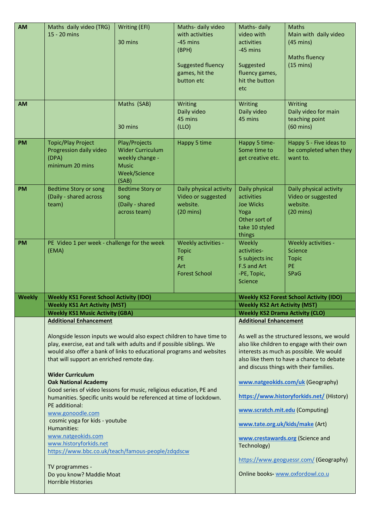| <b>AM</b>     | Maths daily video (TRG)                                               | Writing (EFI)           | Maths- daily video       | Maths-daily                            | <b>Maths</b>                                   |
|---------------|-----------------------------------------------------------------------|-------------------------|--------------------------|----------------------------------------|------------------------------------------------|
|               | 15 - 20 mins                                                          |                         | with activities          | video with                             | Main with daily video                          |
|               |                                                                       | 30 mins                 | $-45$ mins               | activities                             | $(45 \text{ mins})$                            |
|               |                                                                       |                         | (BPH)                    | -45 mins                               |                                                |
|               |                                                                       |                         |                          |                                        | <b>Maths fluency</b>                           |
|               |                                                                       |                         | <b>Suggested fluency</b> | Suggested                              | $(15 \text{ mins})$                            |
|               |                                                                       |                         | games, hit the           | fluency games,                         |                                                |
|               |                                                                       |                         |                          |                                        |                                                |
|               |                                                                       |                         | button etc               | hit the button                         |                                                |
|               |                                                                       |                         |                          | etc                                    |                                                |
|               |                                                                       |                         |                          |                                        |                                                |
| <b>AM</b>     |                                                                       | Maths (SAB)             | Writing                  | Writing                                | Writing                                        |
|               |                                                                       |                         | Daily video              | Daily video                            | Daily video for main                           |
|               |                                                                       |                         | 45 mins                  | 45 mins                                | teaching point                                 |
|               |                                                                       | 30 mins                 | (LLO)                    |                                        | $(60 \text{ mins})$                            |
|               |                                                                       |                         |                          |                                        |                                                |
| PM            | <b>Topic/Play Project</b>                                             | Play/Projects           | Happy 5 time             | Happy 5 time-                          | Happy 5 - Five ideas to                        |
|               | Progression daily video                                               | <b>Wider Curriculum</b> |                          | Some time to                           | be completed when they                         |
|               | (DPA)                                                                 | weekly change -         |                          | get creative etc.                      | want to.                                       |
|               | minimum 20 mins                                                       | <b>Music</b>            |                          |                                        |                                                |
|               |                                                                       | Week/Science            |                          |                                        |                                                |
|               |                                                                       | (SAB)                   |                          |                                        |                                                |
| <b>PM</b>     | <b>Bedtime Story or song</b>                                          | <b>Bedtime Story or</b> | Daily physical activity  | Daily physical                         | Daily physical activity                        |
|               | (Daily - shared across                                                | song                    | Video or suggested       | activities                             | Video or suggested                             |
|               | team)                                                                 | (Daily - shared         | website.                 | <b>Joe Wicks</b>                       | website.                                       |
|               |                                                                       | across team)            | $(20 \text{ mins})$      | Yoga                                   | $(20 \text{ mins})$                            |
|               |                                                                       |                         |                          | Other sort of                          |                                                |
|               |                                                                       |                         |                          | take 10 styled                         |                                                |
|               |                                                                       |                         |                          | things                                 |                                                |
| <b>PM</b>     | PE Video 1 per week - challenge for the week                          |                         | Weekly activities -      | Weekly                                 | Weekly activities -                            |
|               | (EMA)                                                                 |                         | <b>Topic</b>             | activities-                            | Science                                        |
|               |                                                                       |                         | PE                       | 5 subjects inc                         | <b>Topic</b>                                   |
|               |                                                                       |                         |                          |                                        |                                                |
|               |                                                                       |                         |                          |                                        |                                                |
|               |                                                                       |                         | Art                      | F.S and Art                            | PE                                             |
|               |                                                                       |                         | <b>Forest School</b>     | -PE, Topic,                            | <b>SPaG</b>                                    |
|               |                                                                       |                         |                          | Science                                |                                                |
|               |                                                                       |                         |                          |                                        |                                                |
| <b>Weekly</b> | <b>Weekly KS1 Forest School Activity (IDO)</b>                        |                         |                          |                                        | <b>Weekly KS2 Forest School Activity (IDO)</b> |
|               | <b>Weekly KS1 Art Activity (MST)</b>                                  |                         |                          | <b>Weekly KS2 Art Activity (MST)</b>   |                                                |
|               | <b>Weekly KS1 Music Activity (GBA)</b>                                |                         |                          | <b>Weekly KS2 Drama Activity (CLO)</b> |                                                |
|               | <b>Additional Enhancement</b>                                         |                         |                          | <b>Additional Enhancement</b>          |                                                |
|               |                                                                       |                         |                          |                                        |                                                |
|               | Alongside lesson inputs we would also expect children to have time to |                         |                          |                                        | As well as the structured lessons, we would    |
|               | play, exercise, eat and talk with adults and if possible siblings. We |                         |                          |                                        | also like children to engage with their own    |
|               | would also offer a bank of links to educational programs and websites |                         |                          |                                        | interests as much as possible. We would        |
|               | that will support an enriched remote day.                             |                         |                          |                                        | also like them to have a chance to debate      |
|               |                                                                       |                         |                          |                                        | and discuss things with their families.        |
|               | <b>Wider Curriculum</b>                                               |                         |                          |                                        |                                                |
|               | <b>Oak National Academy</b>                                           |                         |                          |                                        | www.natgeokids.com/uk (Geography)              |
|               | Good series of video lessons for music, religious education, PE and   |                         |                          |                                        |                                                |
|               | humanities. Specific units would be referenced at time of lockdown.   |                         |                          |                                        | https://www.historyforkids.net/ (History)      |
|               | PE additional:                                                        |                         |                          |                                        |                                                |
|               | www.gonoodle.com                                                      |                         |                          | www.scratch.mit.edu (Computing)        |                                                |
|               | cosmic yoga for kids - youtube                                        |                         |                          |                                        |                                                |
|               | Humanities:                                                           |                         |                          | www.tate.org.uk/kids/make (Art)        |                                                |
|               | www.natgeokids.com                                                    |                         |                          |                                        |                                                |
|               | www.historyforkids.net                                                |                         |                          | www.crestawards.org (Science and       |                                                |
|               | https://www.bbc.co.uk/teach/famous-people/zdqdscw                     |                         |                          | Technology)                            |                                                |
|               |                                                                       |                         |                          |                                        |                                                |
|               | TV programmes -                                                       |                         |                          |                                        | https://www.geoguessr.com/ (Geography)         |
|               | Do you know? Maddie Moat                                              |                         |                          | Online books- www.oxfordowl.co.u       |                                                |
|               | <b>Horrible Histories</b>                                             |                         |                          |                                        |                                                |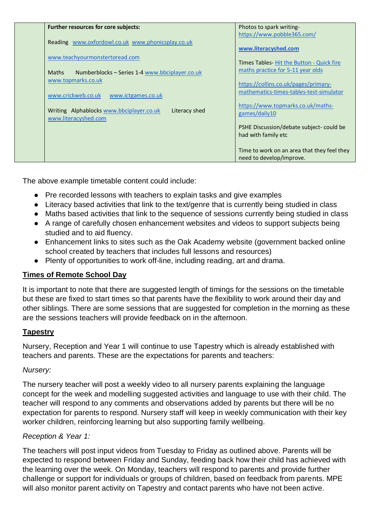| Further resources for core subjects:                                              | Photos to spark writing-                                                        |
|-----------------------------------------------------------------------------------|---------------------------------------------------------------------------------|
|                                                                                   | https://www.pobble365.com/                                                      |
| Reading www.oxfordowl.co.uk www.phonicsplay.co.uk                                 | www.literacyshed.com                                                            |
| www.teachyourmonstertoread.com                                                    |                                                                                 |
| <b>Maths</b><br>Numberblocks – Series 1-4 www.bbciplayer.co.uk                    | Times Tables-Hit the Button - Quick fire<br>maths practice for 5-11 year olds   |
| www.topmarks.co.uk                                                                | https://collins.co.uk/pages/primary-<br>mathematics-times-tables-test-simulator |
| www.crickweb.co.uk<br>www.ictgames.co.uk                                          |                                                                                 |
| Writing Alphablocks www.bbciplayer.co.uk<br>Literacy shed<br>www.literacyshed.com | https://www.topmarks.co.uk/maths-<br>games/daily10                              |
|                                                                                   | PSHE Discussion/debate subject- could be<br>had with family etc                 |
|                                                                                   | Time to work on an area that they feel they<br>need to develop/improve.         |

The above example timetable content could include:

- Pre recorded lessons with teachers to explain tasks and give examples
- Literacy based activities that link to the text/genre that is currently being studied in class
- Maths based activities that link to the sequence of sessions currently being studied in class
- A range of carefully chosen enhancement websites and videos to support subjects being studied and to aid fluency.
- Enhancement links to sites such as the Oak Academy website (government backed online school created by teachers that includes full lessons and resources)
- Plenty of opportunities to work off-line, including reading, art and drama.

### **Times of Remote School Day**

It is important to note that there are suggested length of timings for the sessions on the timetable but these are fixed to start times so that parents have the flexibility to work around their day and other siblings. There are some sessions that are suggested for completion in the morning as these are the sessions teachers will provide feedback on in the afternoon.

#### **Tapestry**

Nursery, Reception and Year 1 will continue to use Tapestry which is already established with teachers and parents. These are the expectations for parents and teachers:

#### *Nursery:*

The nursery teacher will post a weekly video to all nursery parents explaining the language concept for the week and modelling suggested activities and language to use with their child. The teacher will respond to any comments and observations added by parents but there will be no expectation for parents to respond. Nursery staff will keep in weekly communication with their key worker children, reinforcing learning but also supporting family wellbeing.

#### *Reception & Year 1:*

The teachers will post input videos from Tuesday to Friday as outlined above. Parents will be expected to respond between Friday and Sunday, feeding back how their child has achieved with the learning over the week. On Monday, teachers will respond to parents and provide further challenge or support for individuals or groups of children, based on feedback from parents. MPE will also monitor parent activity on Tapestry and contact parents who have not been active.